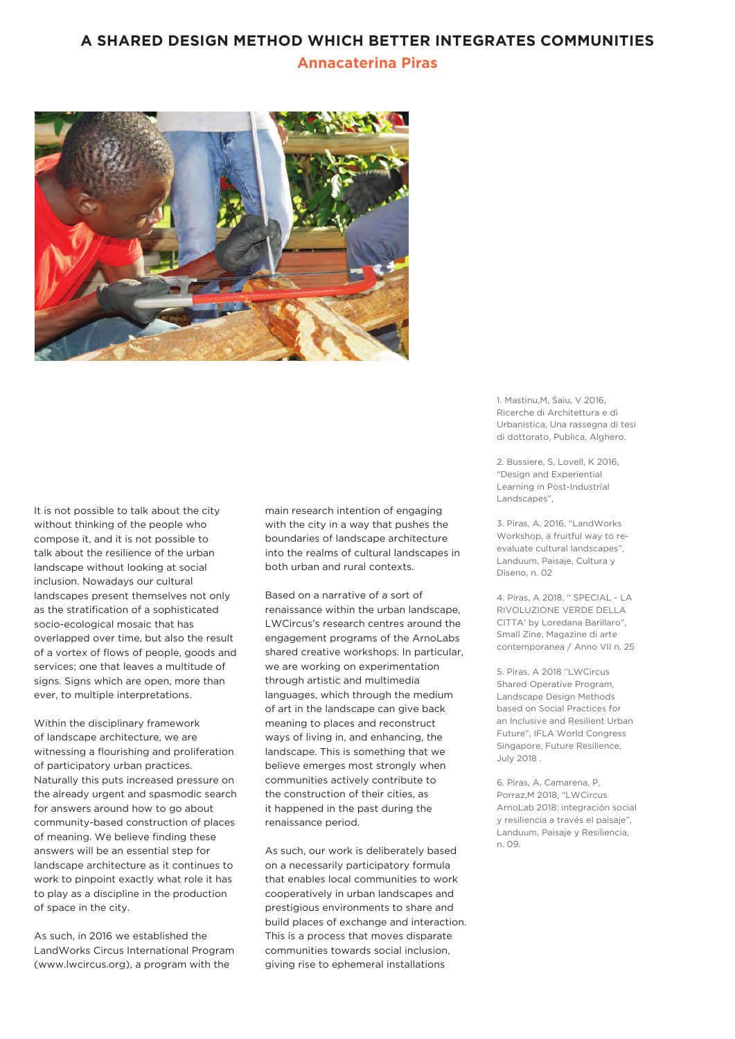## **A SHARED DESIGN METHOD WHICH BETTER INTEGRATES COMMUNITIES**

## **Annacaterina Piras**



It is not possible to talk about the city without thinking of the people who compose it, and it is not possible to talk about the resilience of the urban landscape without looking at social inclusion. Nowadays our cultural landscapes present themselves not only as the stratification of a sophisticated socio-ecological mosaic that has overlapped over time, but also the result of a vortex of flows of people, goods and services; one that leaves a multitude of signs. Signs which are open, more than ever, to multiple interpretations.

Within the disciplinary framework of landscape architecture, we are witnessing a flourishing and proliferation of participatory urban practices. Naturally this puts increased pressure on the already urgent and spasmodic search for answers around how to go about community-based construction of places of meaning. We believe finding these answers will be an essential step for landscape architecture as it continues to work to pinpoint exactly what role it has to play as a discipline in the production of space in the city.

As such, in 2016 we established the LandWorks Circus International Program (www.lwcircus.org), a program with the

main research intention of engaging with the city in a way that pushes the boundaries of landscape architecture into the realms of cultural landscapes in both urban and rural contexts.

Based on a narrative of a sort of renaissance within the urban landscape, LWCircus's research centres around the engagement programs of the ArnoLabs shared creative workshops. In particular, we are working on experimentation through artistic and multimedia languages, which through the medium of art in the landscape can give back meaning to places and reconstruct ways of living in, and enhancing, the landscape. This is something that we believe emerges most strongly when communities actively contribute to the construction of their cities, as it happened in the past during the renaissance period.

As such, our work is deliberately based on a necessarily participatory formula that enables local communities to work cooperatively in urban landscapes and prestigious environments to share and build places of exchange and interaction. This is a process that moves disparate communities towards social inclusion, giving rise to ephemeral installations

1. Mastinu,M, Saiu, V 2016, Ricerche di Architettura e di Urbanistica, Una rassegna di tesi di dottorato, Publica, Alghero.

2. Bussiere, S, Lovell, K 2016, "Design and Experiential Learning in Post-Industrial Landscapes",

3. Piras, A, 2016, "LandWorks Workshop, a fruitful way to reevaluate cultural landscapes", Landuum, Paisaje, Cultura y Diseno, n. 02

4. Piras, A 2018, " SPECIAL - LA RIVOLUZIONE VERDE DELLA CITTA' by Loredana Barillaro", Small Zine, Magazine di arte contemporanea / Anno VII n. 25

5. Piras, A 2018 "LWCircus Shared Operative Program, Landscape Design Methods based on Social Practices for an Inclusive and Resilient Urban Future", IFLA World Congress Singapore, Future Resilience, July 2018 .

6. Piras, A, Camarena, P, Porraz,M 2018, "LWCircus ArnoLab 2018: integración social y resiliencia a través el paisaje", Landuum, Paisaje y Resiliencia, n. 09.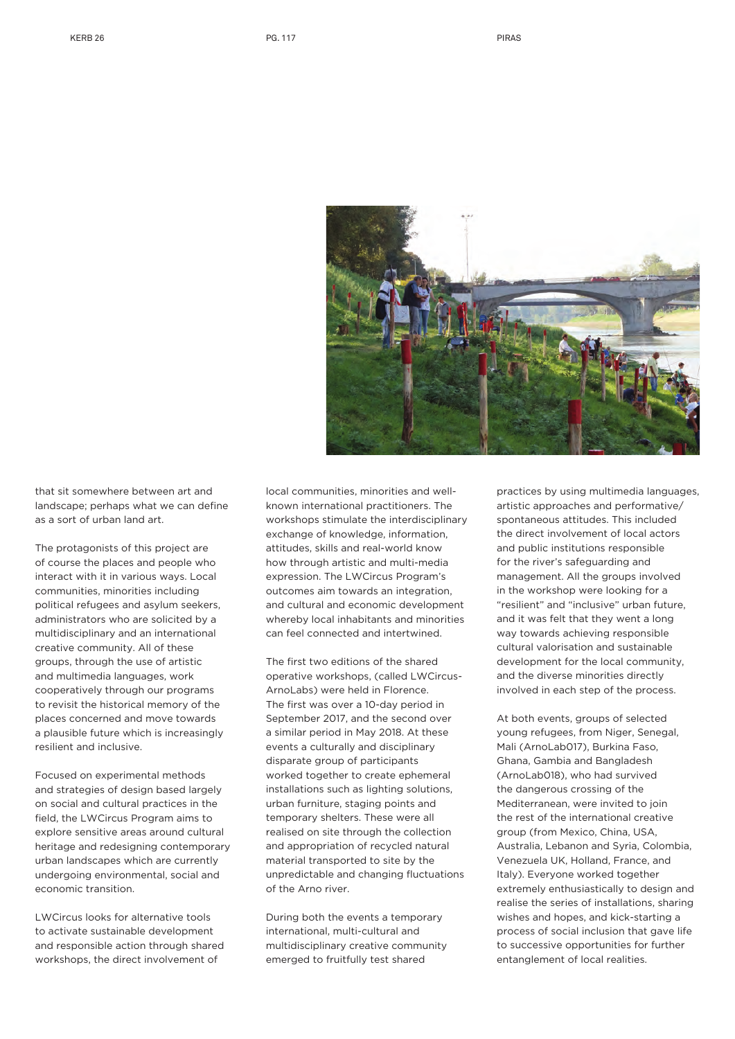

that sit somewhere between art and landscape; perhaps what we can define as a sort of urban land art.

The protagonists of this project are of course the places and people who interact with it in various ways. Local communities, minorities including political refugees and asylum seekers, administrators who are solicited by a multidisciplinary and an international creative community. All of these groups, through the use of artistic and multimedia languages, work cooperatively through our programs to revisit the historical memory of the places concerned and move towards a plausible future which is increasingly resilient and inclusive.

Focused on experimental methods and strategies of design based largely on social and cultural practices in the field, the LWCircus Program aims to explore sensitive areas around cultural heritage and redesigning contemporary urban landscapes which are currently undergoing environmental, social and economic transition.

LWCircus looks for alternative tools to activate sustainable development and responsible action through shared workshops, the direct involvement of

local communities, minorities and wellknown international practitioners. The workshops stimulate the interdisciplinary exchange of knowledge, information, attitudes, skills and real-world know how through artistic and multi-media expression. The LWCircus Program's outcomes aim towards an integration, and cultural and economic development whereby local inhabitants and minorities can feel connected and intertwined.

The first two editions of the shared operative workshops, (called LWCircus-ArnoLabs) were held in Florence. The first was over a 10-day period in September 2017, and the second over a similar period in May 2018. At these events a culturally and disciplinary disparate group of participants worked together to create ephemeral installations such as lighting solutions, urban furniture, staging points and temporary shelters. These were all realised on site through the collection and appropriation of recycled natural material transported to site by the unpredictable and changing fluctuations of the Arno river.

During both the events a temporary international, multi-cultural and multidisciplinary creative community emerged to fruitfully test shared

practices by using multimedia languages, artistic approaches and performative/ spontaneous attitudes. This included the direct involvement of local actors and public institutions responsible for the river's safeguarding and management. All the groups involved in the workshop were looking for a "resilient" and "inclusive" urban future, and it was felt that they went a long way towards achieving responsible cultural valorisation and sustainable development for the local community, and the diverse minorities directly involved in each step of the process.

At both events, groups of selected young refugees, from Niger, Senegal, Mali (ArnoLab017), Burkina Faso, Ghana, Gambia and Bangladesh (ArnoLab018), who had survived the dangerous crossing of the Mediterranean, were invited to join the rest of the international creative group (from Mexico, China, USA, Australia, Lebanon and Syria, Colombia, Venezuela UK, Holland, France, and Italy). Everyone worked together extremely enthusiastically to design and realise the series of installations, sharing wishes and hopes, and kick-starting a process of social inclusion that gave life to successive opportunities for further entanglement of local realities.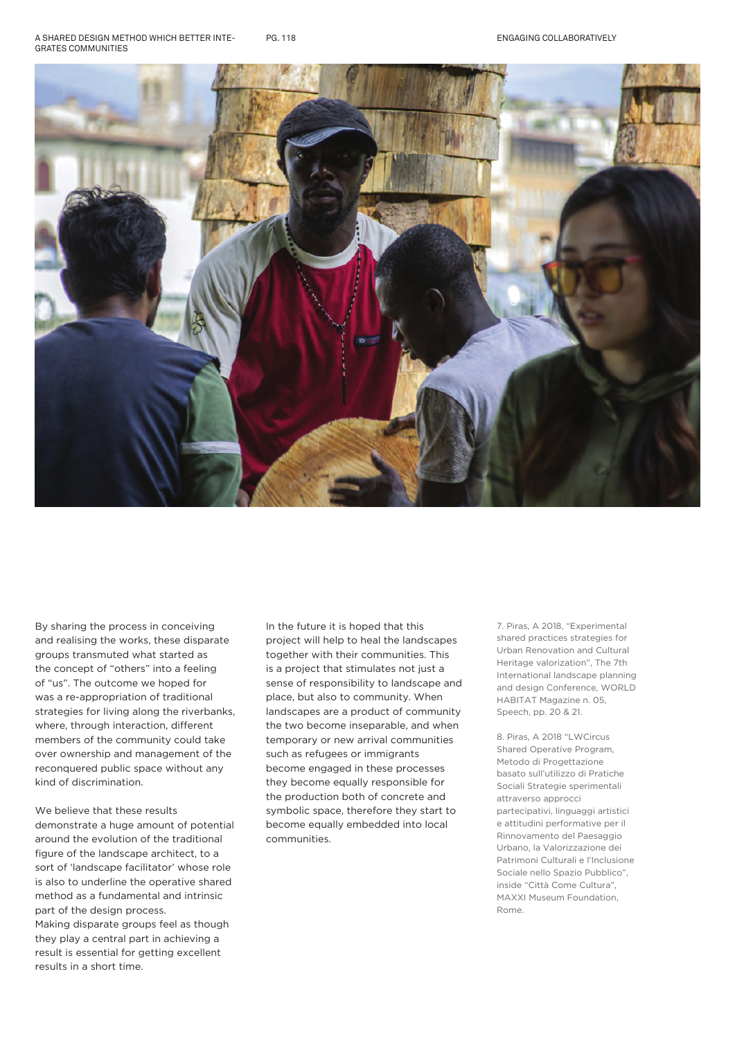A SHARED DESIGN METHOD WHICH BETTER INTE-GRATES COMMUNITIES PG. 118



By sharing the process in conceiving and realising the works, these disparate groups transmuted what started as the concept of "others" into a feeling of "us". The outcome we hoped for was a re-appropriation of traditional strategies for living along the riverbanks, where, through interaction, different members of the community could take over ownership and management of the reconquered public space without any kind of discrimination.

We believe that these results demonstrate a huge amount of potential around the evolution of the traditional figure of the landscape architect, to a sort of 'landscape facilitator' whose role is also to underline the operative shared method as a fundamental and intrinsic part of the design process. Making disparate groups feel as though they play a central part in achieving a result is essential for getting excellent results in a short time.

In the future it is hoped that this project will help to heal the landscapes together with their communities. This is a project that stimulates not just a sense of responsibility to landscape and place, but also to community. When landscapes are a product of community the two become inseparable, and when temporary or new arrival communities such as refugees or immigrants become engaged in these processes they become equally responsible for the production both of concrete and symbolic space, therefore they start to become equally embedded into local communities.

7. Piras, A 2018, "Experimental shared practices strategies for Urban Renovation and Cultural Heritage valorization", The 7th International landscape planning and design Conference, WORLD HABITAT Magazine n. 05, Speech, pp. 20 & 21.

8. Piras, A 2018 "LWCircus Shared Operative Program, Metodo di Progettazione basato sull'utilizzo di Pratiche Sociali Strategie sperimentali attraverso approcci partecipativi, linguaggi artistici e attitudini performative per il Rinnovamento del Paesaggio Urbano, la Valorizzazione dei Patrimoni Culturali e l'Inclusione Sociale nello Spazio Pubblico", inside "Città Come Cultura", MAXXI Museum Foundation, Rome.